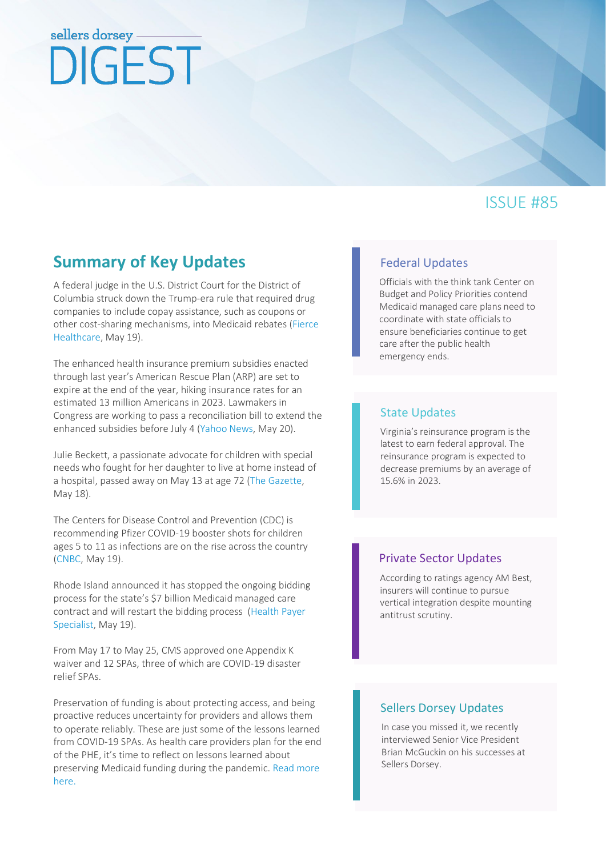# sellers dorsey **DIGFST**

# ISSUE #85

# **Summary of Key Updates** [Federal Updates](#page-1-0)

A federal judge in the U.S. District Court for the District of Columbia struck down the Trump-era rule that required drug companies to include copay assistance, such as coupons or other cost-sharing mechanisms, into Medicaid rebates [\(Fierce](https://www.fiercehealthcare.com/payers/judge-strikes-down-cms-medicaid-copay-rule-handing-phrma-major-win)  [Healthcare,](https://www.fiercehealthcare.com/payers/judge-strikes-down-cms-medicaid-copay-rule-handing-phrma-major-win) May 19).

The enhanced health insurance premium subsidies enacted through last year's American Rescue Plan (ARP) are set to expire at the end of the year, hiking insurance rates for an estimated 13 million Americans in 2023. Lawmakers in Congress are working to pass a reconciliation bill to extend the enhanced subsidies before July 4 [\(Yahoo News,](https://news.yahoo.com/democrats-walking-obamacare-fiasco-own-083000466.html) May 20).

Julie Beckett, a passionate advocate for children with special needs who fought for her daughter to live at home instead of a hospital, passed away on May 13 at age 72 [\(The Gazette,](https://www.thegazette.com/health-care-medicine/julie-beckett-who-fought-for-change-in-medicaid-system-dies/) May 18).

The Centers for Disease Control and Prevention (CDC) is recommending Pfizer COVID-19 booster shots for children ages 5 to 11 as infections are on the rise across the country [\(CNBC,](https://www.cnbc.com/2022/05/19/covid-kids-shots-cdc-panel-recommends-pfizer-booster-for-children-ages-5-to-11-.html) May 19).

Rhode Island announced it has stopped the ongoing bidding process for the state's \$7 billion Medicaid managed care contract and will restart the bidding process [\(Health Payer](https://www.healthpayerspecialist.com/c/3612444/463444/state_scraps_troubled_medicaid_contract_starts_again?referrer_module=issueHeadline&module_order=8)  [Specialist,](https://www.healthpayerspecialist.com/c/3612444/463444/state_scraps_troubled_medicaid_contract_starts_again?referrer_module=issueHeadline&module_order=8) May 19).

From May 17 to May 25, CMS approved one Appendix K waiver and 12 SPAs, three of which are COVID-19 disaster relief SPAs.

Preservation of funding is about protecting access, and being proactive reduces uncertainty for providers and allows them to operate reliably. These are just some of the lessons learned from COVID-19 SPAs. As health care providers plan for the end of the PHE, it's time to reflect on lessons learned about preserving Medicaid funding during the pandemic. [Read more](https://www.sellersdorsey.com/news-resources/announcements/preserving-supplemental-funding-during-a-public-health-emergency/)  [here.](https://www.sellersdorsey.com/news-resources/announcements/preserving-supplemental-funding-during-a-public-health-emergency/)

Officials with the think tank Center on Budget and Policy Priorities contend Medicaid managed care plans need to coordinate with state officials to ensure beneficiaries continue to get care after the public health emergency ends.

#### [State Updates](#page-2-0)

Virginia's reinsurance program is the latest to earn federal approval. The reinsurance program is expected to decrease premiums by an average of 15.6% in 2023.

### [Private Sector Updates](#page-3-0)

According to ratings agency AM Best, insurers will continue to pursue vertical integration despite mounting antitrust scrutiny.

### [Sellers Dorsey Updates](#page-3-1)

In case you missed it, we recently interviewed Senior Vice President Brian McGuckin on his successes at Sellers Dorsey.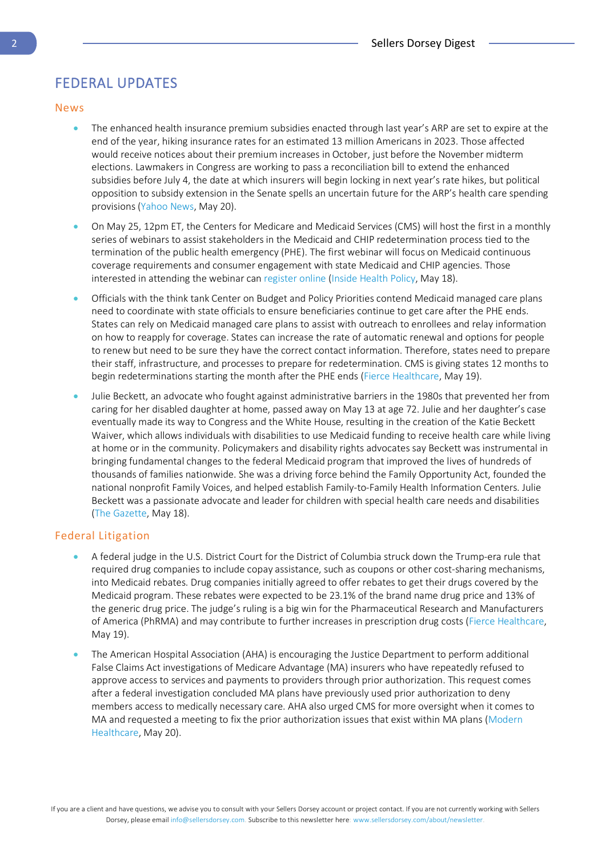# <span id="page-1-0"></span>FEDERAL UPDATES

#### News

- The enhanced health insurance premium subsidies enacted through last year's ARP are set to expire at the end of the year, hiking insurance rates for an estimated 13 million Americans in 2023. Those affected would receive notices about their premium increases in October, just before the November midterm elections. Lawmakers in Congress are working to pass a reconciliation bill to extend the enhanced subsidies before July 4, the date at which insurers will begin locking in next year's rate hikes, but political opposition to subsidy extension in the Senate spells an uncertain future for the ARP's health care spending provisions [\(Yahoo News,](https://news.yahoo.com/democrats-walking-obamacare-fiasco-own-083000466.html) May 20).
- On May 25, 12pm ET, the Centers for Medicare and Medicaid Services (CMS) will host the first in a monthly series of webinars to assist stakeholders in the Medicaid and CHIP redetermination process tied to the termination of the public health emergency (PHE). The first webinar will focus on Medicaid continuous coverage requirements and consumer engagement with state Medicaid and CHIP agencies. Those interested in attending the webinar ca[n register online](https://cms.zoomgov.com/webinar/register/WN_qma5AvyBQWCTB0vbNF3lTA) [\(Inside Health Policy,](https://insidehealthpolicy.com/daily-news/cms-kick-monthly-meetings-phe-unwinding) May 18).
- Officials with the think tank Center on Budget and Policy Priorities contend Medicaid managed care plans need to coordinate with state officials to ensure beneficiaries continue to get care after the PHE ends. States can rely on Medicaid managed care plans to assist with outreach to enrollees and relay information on how to reapply for coverage. States can increase the rate of automatic renewal and options for people to renew but need to be sure they have the correct contact information. Therefore, states need to prepare their staff, infrastructure, and processes to prepare for redetermination. CMS is giving states 12 months to begin redeterminations starting the month after the PHE ends [\(Fierce Healthcare,](https://www.fiercehealthcare.com/payers/cbpp-managed-care-plans-need-prep-major-coordination-states-medicaid-redeterminations) May 19).
- Julie Beckett, an advocate who fought against administrative barriers in the 1980s that prevented her from caring for her disabled daughter at home, passed away on May 13 at age 72. Julie and her daughter's case eventually made its way to Congress and the White House, resulting in the creation of the Katie Beckett Waiver, which allows individuals with disabilities to use Medicaid funding to receive health care while living at home or in the community. Policymakers and disability rights advocates say Beckett was instrumental in bringing fundamental changes to the federal Medicaid program that improved the lives of hundreds of thousands of families nationwide. She was a driving force behind the Family Opportunity Act, founded the national nonprofit Family Voices, and helped establish Family-to-Family Health Information Centers. Julie Beckett was a passionate advocate and leader for children with special health care needs and disabilities [\(The Gazette,](https://www.thegazette.com/health-care-medicine/julie-beckett-who-fought-for-change-in-medicaid-system-dies/) May 18).

#### Federal Litigation

- A federal judge in the U.S. District Court for the District of Columbia struck down the Trump-era rule that required drug companies to include copay assistance, such as coupons or other cost-sharing mechanisms, into Medicaid rebates. Drug companies initially agreed to offer rebates to get their drugs covered by the Medicaid program. These rebates were expected to be 23.1% of the brand name drug price and 13% of the generic drug price. The judge's ruling is a big win for the Pharmaceutical Research and Manufacturers of America (PhRMA) and may contribute to further increases in prescription drug costs [\(Fierce Healthcare,](https://www.fiercehealthcare.com/payers/judge-strikes-down-cms-medicaid-copay-rule-handing-phrma-major-win) May 19).
- The American Hospital Association (AHA) is encouraging the Justice Department to perform additional False Claims Act investigations of Medicare Advantage (MA) insurers who have repeatedly refused to approve access to services and payments to providers through prior authorization. This request comes after a federal investigation concluded MA plans have previously used prior authorization to deny members access to medically necessary care. AHA also urged CMS for more oversight when it comes to MA and requested a meeting to fix the prior authorization issues that exist within MA plans [\(Modern](https://www.modernhealthcare.com/legal/aha-wants-false-claims-act-enforcement-medicare-advantage-care-denials)  [Healthcare,](https://www.modernhealthcare.com/legal/aha-wants-false-claims-act-enforcement-medicare-advantage-care-denials) May 20).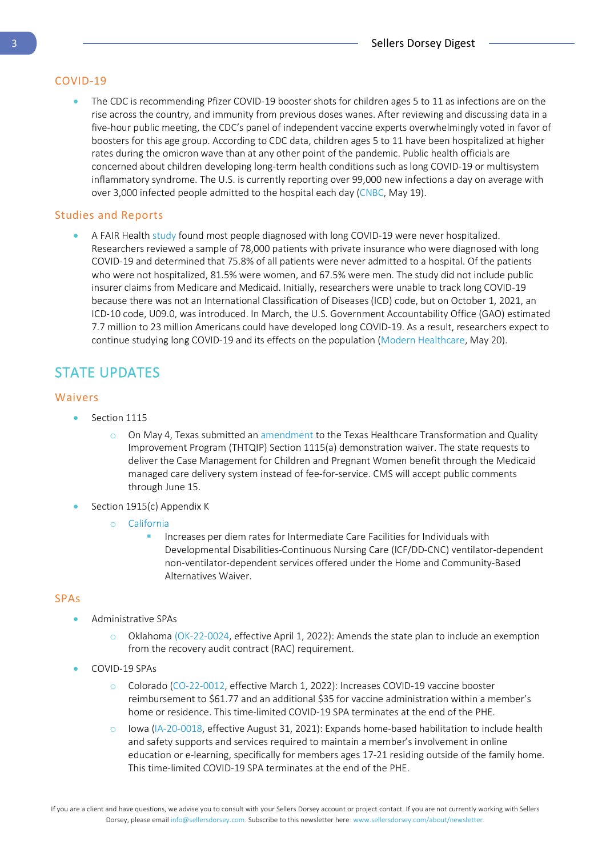#### COVID-19

The CDC is recommending Pfizer COVID-19 booster shots for children ages 5 to 11 as infections are on the rise across the country, and immunity from previous doses wanes. After reviewing and discussing data in a five-hour public meeting, the CDC's panel of independent vaccine experts overwhelmingly voted in favor of boosters for this age group. According to CDC data, children ages 5 to 11 have been hospitalized at higher rates during the omicron wave than at any other point of the pandemic. Public health officials are concerned about children developing long-term health conditions such as long COVID-19 or multisystem inflammatory syndrome. The U.S. is currently reporting over 99,000 new infections a day on average with over 3,000 infected people admitted to the hospital each day [\(CNBC,](https://www.cnbc.com/2022/05/19/covid-kids-shots-cdc-panel-recommends-pfizer-booster-for-children-ages-5-to-11-.html) May 19).

#### Studies and Reports

• A FAIR Health [study](https://s3.amazonaws.com/media2.fairhealth.org/whitepaper/asset/Patients%20Diagnosed%20with%20Post-COVID%20Conditions%20-%20A%20FAIR%20Health%20White%20Paper.pdf) found most people diagnosed with long COVID-19 were never hospitalized. Researchers reviewed a sample of 78,000 patients with private insurance who were diagnosed with long COVID-19 and determined that 75.8% of all patients were never admitted to a hospital. Of the patients who were not hospitalized, 81.5% were women, and 67.5% were men. The study did not include public insurer claims from Medicare and Medicaid. Initially, researchers were unable to track long COVID-19 because there was not an International Classification of Diseases (ICD) code, but on October 1, 2021, an ICD-10 code, U09.0, was introduced. In March, the U.S. Government Accountability Office (GAO) estimated 7.7 million to 23 million Americans could have developed long COVID-19. As a result, researchers expect to continue studying long COVID-19 and its effects on the population [\(Modern Healthcare,](https://www.modernhealthcare.com/patients/most-long-covid-were-never-hospitalized-study-finds?utm_source=modern-healthcare-am-friday&utm_medium=email&utm_campaign=20220519&utm_content=article2-headline) May 20).

# <span id="page-2-0"></span>STATE UPDATES

#### Waivers

- Section 1115
	- $\circ$  On May 4, Texas submitted an [amendment](https://www.medicaid.gov/medicaid/section-1115-demonstrations/downloads/tx-healthcare-transformation-case-mgt-amend-pa-05042022.pdf) to the Texas Healthcare Transformation and Quality Improvement Program (THTQIP) Section 1115(a) demonstration waiver. The state requests to deliver the Case Management for Children and Pregnant Women benefit through the Medicaid managed care delivery system instead of fee-for-service. CMS will accept public comments through June 15.
- Section 1915(c) Appendix K
	- o [California](https://www.medicaid.gov/state-resource-center/downloads/ca-0139-11-appendix-k-appvl.pdf)
		- Increases per diem rates for Intermediate Care Facilities for Individuals with Developmental Disabilities-Continuous Nursing Care (ICF/DD-CNC) ventilator-dependent non-ventilator-dependent services offered under the Home and Community-Based Alternatives Waiver.

#### SPAs

- Administrative SPAs
	- o Oklahom[a \(OK-22-0024,](https://www.medicaid.gov/medicaid/spa/downloads/OK-22-0024.pdf) effective April 1, 2022): Amends the state plan to include an exemption from the recovery audit contract (RAC) requirement.
- COVID-19 SPAs
	- o Colorado [\(CO-22-0012,](https://www.medicaid.gov/medicaid/spa/downloads/CO-22-0012.pdf) effective March 1, 2022): Increases COVID-19 vaccine booster reimbursement to \$61.77 and an additional \$35 for vaccine administration within a member's home or residence. This time-limited COVID-19 SPA terminates at the end of the PHE.
	- o Iowa [\(IA-20-0018,](https://www.medicaid.gov/medicaid/spa/downloads/IA-20-0018.pdf) effective August 31, 2021): Expands home-based habilitation to include health and safety supports and services required to maintain a member's involvement in online education or e-learning, specifically for members ages 17-21 residing outside of the family home. This time-limited COVID-19 SPA terminates at the end of the PHE.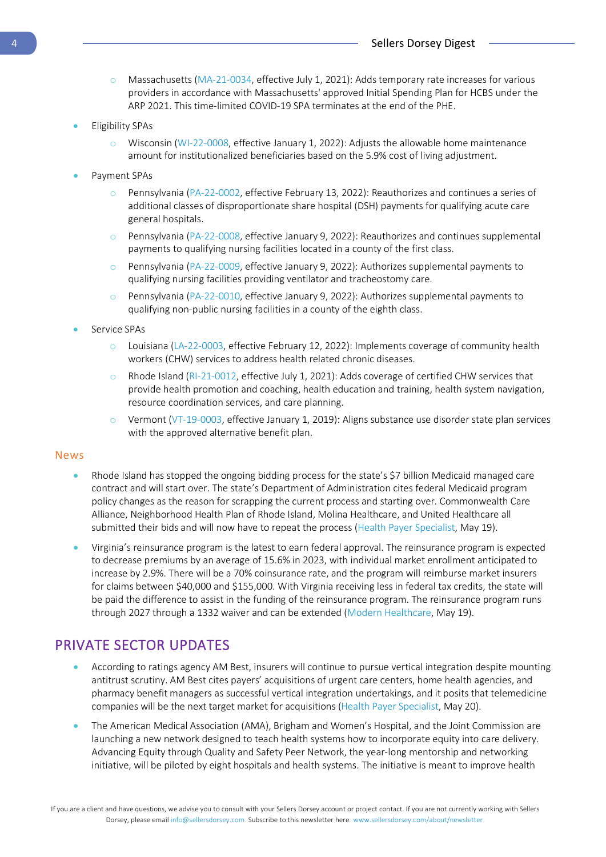- o Massachusetts [\(MA-21-0034,](https://www.medicaid.gov/medicaid/spa/downloads/MA-21-0034.pdf) effective July 1, 2021): Adds temporary rate increases for various providers in accordance with Massachusetts' approved Initial Spending Plan for HCBS under the ARP 2021. This time-limited COVID-19 SPA terminates at the end of the PHE.
- Eligibility SPAs
	- o Wisconsin [\(WI-22-0008,](https://www.medicaid.gov/medicaid/spa/downloads/WI-22-0008.pdf) effective January 1, 2022): Adjusts the allowable home maintenance amount for institutionalized beneficiaries based on the 5.9% cost of living adjustment.
- Payment SPAs
	- o Pennsylvania [\(PA-22-0002,](https://www.medicaid.gov/medicaid/spa/downloads/PA-22-0002.pdf) effective February 13, 2022): Reauthorizes and continues a series of additional classes of disproportionate share hospital (DSH) payments for qualifying acute care general hospitals.
	- o Pennsylvania [\(PA-22-0008,](https://www.medicaid.gov/medicaid/spa/downloads/PA-22-0008.pdf) effective January 9, 2022): Reauthorizes and continues supplemental payments to qualifying nursing facilities located in a county of the first class.
	- o Pennsylvania [\(PA-22-0009,](https://www.medicaid.gov/medicaid/spa/downloads/PA-22-0009.pdf) effective January 9, 2022): Authorizes supplemental payments to qualifying nursing facilities providing ventilator and tracheostomy care.
	- o Pennsylvania [\(PA-22-0010,](https://www.medicaid.gov/medicaid/spa/downloads/PA-22-0010.pdf) effective January 9, 2022): Authorizes supplemental payments to qualifying non-public nursing facilities in a county of the eighth class.
- Service SPAs
	- $\circ$  Louisiana [\(LA-22-0003,](https://www.medicaid.gov/medicaid/spa/downloads/LA-22-0003.pdf) effective February 12, 2022): Implements coverage of community health workers (CHW) services to address health related chronic diseases.
	- Rhode Island [\(RI-21-0012,](https://www.medicaid.gov/medicaid/spa/downloads/RI-21-0012.pdf) effective July 1, 2021): Adds coverage of certified CHW services that provide health promotion and coaching, health education and training, health system navigation, resource coordination services, and care planning.
	- o Vermont [\(VT-19-0003,](https://www.medicaid.gov/medicaid/spa/downloads/VT-19-0003.pdf) effective January 1, 2019): Aligns substance use disorder state plan services with the approved alternative benefit plan.

#### News

- Rhode Island has stopped the ongoing bidding process for the state's \$7 billion Medicaid managed care contract and will start over. The state's Department of Administration cites federal Medicaid program policy changes as the reason for scrapping the current process and starting over. Commonwealth Care Alliance, Neighborhood Health Plan of Rhode Island, Molina Healthcare, and United Healthcare all submitted their bids and will now have to repeat the process [\(Health Payer Specialist,](https://www.healthpayerspecialist.com/c/3612444/463444/state_scraps_troubled_medicaid_contract_starts_again?referrer_module=issueHeadline&module_order=8) May 19).
- Virginia's reinsurance program is the latest to earn federal approval. The reinsurance program is expected to decrease premiums by an average of 15.6% in 2023, with individual market enrollment anticipated to increase by 2.9%. There will be a 70% coinsurance rate, and the program will reimburse market insurers for claims between \$40,000 and \$155,000. With Virginia receiving less in federal tax credits, the state will be paid the difference to assist in the funding of the reinsurance program. The reinsurance program runs through 2027 through a 1332 waiver and can be extended [\(Modern Healthcare,](https://www.modernhealthcare.com/insurance/virginias-reinsurance-program-earns-federal-approval) May 19).

# <span id="page-3-1"></span><span id="page-3-0"></span>PRIVATE SECTOR UPDATES

- According to ratings agency AM Best, insurers will continue to pursue vertical integration despite mounting antitrust scrutiny. AM Best cites payers' acquisitions of urgent care centers, home health agencies, and pharmacy benefit managers as successful vertical integration undertakings, and it posits that telemedicine companies will be the next target market for acquisitions [\(Health Payer Specialist,](https://www.healthpayerspecialist.com/c/3613054/464173/larger_payer_providers_with_acquisitions_alliances?referrer_module=emailReminder&module_order=0&code=WW1SbFpYTkFjMlZzYkdWeWMyUnZjbk5sZVM1amIyMHNJREV6T1RnM09UTXpMQ0E1TkRRNU9URTBNakU9) May 20).
- The American Medical Association (AMA), Brigham and Women's Hospital, and the Joint Commission are launching a new network designed to teach health systems how to incorporate equity into care delivery. Advancing Equity through Quality and Safety Peer Network, the year-long mentorship and networking initiative, will be piloted by eight hospitals and health systems. The initiative is meant to improve health